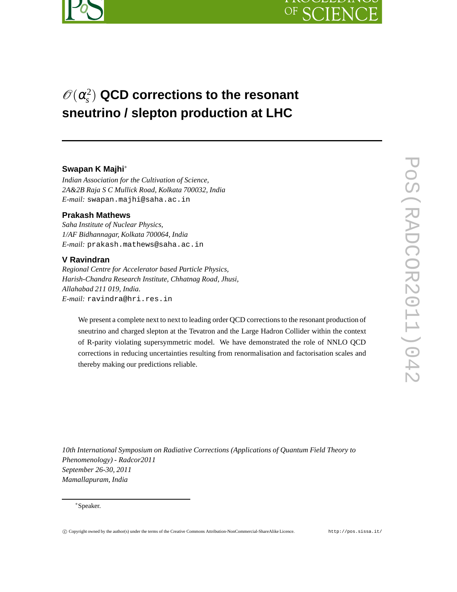



# $\mathscr{O}(\alpha_s^2)$ *s* ) **QCD corrections to the resonant sneutrino / slepton production at LHC**

### **Swapan K Majhi**<sup>∗</sup>

*Indian Association for the Cultivation of Science, 2A&2B Raja S C Mullick Road, Kolkata 700032, India E-mail:* swapan.majhi@saha.ac.in

### **Prakash Mathews**

*Saha Institute of Nuclear Physics, 1/AF Bidhannagar, Kolkata 700064, India E-mail:* prakash.mathews@saha.ac.in

#### **V Ravindran**

*Regional Centre for Accelerator based Particle Physics, Harish-Chandra Research Institute, Chhatnag Road, Jhusi, Allahabad 211 019, India. E-mail:* ravindra@hri.res.in

We present a complete next to next to leading order QCD corrections to the resonant production of sneutrino and charged slepton at the Tevatron and the Large Hadron Collider within the context of R-parity violating supersymmetric model. We have demonstrated the role of NNLO QCD corrections in reducing uncertainties resulting from renormalisation and factorisation scales and thereby making our predictions reliable.

*10th International Symposium on Radiative Corrections (Applications of Quantum Field Theory to Phenomenology) - Radcor2011 September 26-30, 2011 Mamallapuram, India*

<sup>∗</sup>Speaker.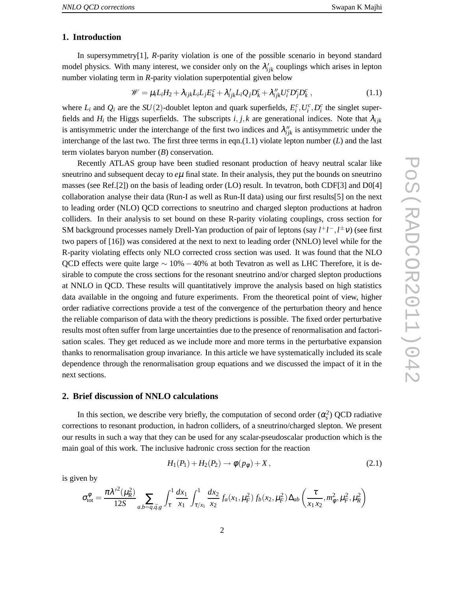## **1. Introduction**

In supersymmetry[1], *R*-parity violation is one of the possible scenario in beyond standard model physics. With many interest, we consider only on the  $\lambda'_{ijk}$  couplings which arises in lepton number violating term in *R*-parity violation superpotential given below

$$
\mathscr{W} = \mu_i L_i H_2 + \lambda_{ijk} L_i L_j E_k^c + \lambda'_{ijk} L_i Q_j D_k^c + \lambda''_{ijk} U_i^c D_j^c D_k^c , \qquad (1.1)
$$

where  $L_i$  and  $Q_i$  are the  $SU(2)$ -doublet lepton and quark superfields,  $E_i^c, U_i^c, D_i^c$  the singlet superfields and  $H_i$  the Higgs superfields. The subscripts  $i, j, k$  are generational indices. Note that  $\lambda_{ijk}$ is antisymmetric under the interchange of the first two indices and  $\lambda''_{ijk}$  is antisymmetric under the interchange of the last two. The first three terms in eqn.(1.1) violate lepton number (*L*) and the last term violates baryon number (*B*) conservation.

Recently ATLAS group have been studied resonant production of heavy neutral scalar like sneutrino and subsequent decay to  $e\mu$  final state. In their analysis, they put the bounds on sneutrino masses (see Ref.[2]) on the basis of leading order (LO) result. In tevatron, both CDF[3] and D0[4] collaboration analyse their data (Run-I as well as Run-II data) using our first results[5] on the next to leading order (NLO) QCD corrections to sneutrino and charged slepton productions at hadron colliders. In their analysis to set bound on these R-parity violating couplings, cross section for SM background processes namely Drell-Yan production of pair of leptons (say *l*<sup>+</sup>*l*<sup>−</sup>,*l*<sup>±</sup>ν) (see first two papers of [16]) was considered at the next to next to leading order (NNLO) level while for the R-parity violating effects only NLO corrected cross section was used. It was found that the NLO QCD effects were quite large  $\sim 10\% - 40\%$  at both Tevatron as well as LHC Therefore, it is desirable to compute the cross sections for the resonant sneutrino and/or charged slepton productions at NNLO in QCD. These results will quantitatively improve the analysis based on high statistics data available in the ongoing and future experiments. From the theoretical point of view, higher order radiative corrections provide a test of the convergence of the perturbation theory and hence the reliable comparison of data with the theory predictions is possible. The fixed order perturbative results most often suffer from large uncertainties due to the presence of renormalisation and factorisation scales. They get reduced as we include more and more terms in the perturbative expansion thanks to renormalisation group invariance. In this article we have systematically included its scale dependence through the renormalisation group equations and we discussed the impact of it in the next sections.

### **2. Brief discussion of NNLO calculations**

In this section, we describe very briefly, the computation of second order  $(\alpha_s^2)$  QCD radiative corrections to resonant production, in hadron colliders, of a sneutrino/charged slepton. We present our results in such a way that they can be used for any scalar-pseudoscalar production which is the main goal of this work. The inclusive hadronic cross section for the reaction

$$
H_1(P_1) + H_2(P_2) \to \phi(p_\phi) + X, \qquad (2.1)
$$

is given by

$$
\sigma_{\text{tot}}^{\phi} = \frac{\pi \lambda'^2 (\mu_R^2)}{12S} \sum_{a,b=q,\bar{q},g} \int_{\tau}^1 \frac{dx_1}{x_1} \int_{\tau/x_1}^1 \frac{dx_2}{x_2} f_a(x_1,\mu_F^2) f_b(x_2,\mu_F^2) \Delta_{ab} \left(\frac{\tau}{x_1 x_2}, m_{\phi}^2, \mu_F^2, \mu_R^2\right)
$$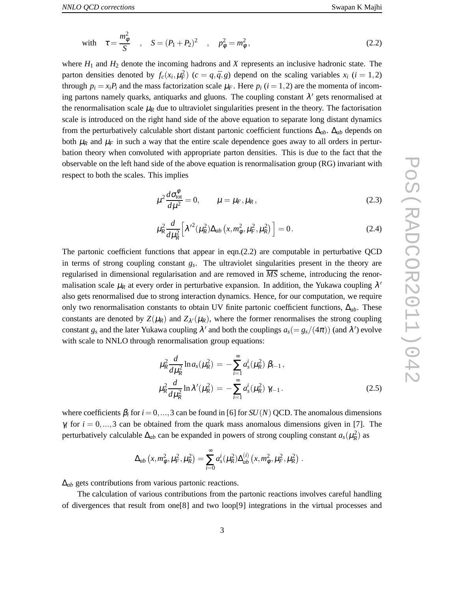where *H*<sup>1</sup> and *H*<sup>2</sup> denote the incoming hadrons and *X* represents an inclusive hadronic state. The parton densities denoted by  $f_c(x_i, \mu_F^2)$  ( $c = q, \bar{q}, g$ ) depend on the scaling variables  $x_i$  ( $i = 1, 2$ ) through  $p_i = x_i P_i$  and the mass factorization scale  $\mu_F$ . Here  $p_i$  ( $i = 1, 2$ ) are the momenta of incoming partons namely quarks, antiquarks and gluons. The coupling constant  $\lambda'$  gets renormalised at the renormalisation scale  $\mu_R$  due to ultraviolet singularities present in the theory. The factorisation scale is introduced on the right hand side of the above equation to separate long distant dynamics from the perturbatively calculable short distant partonic coefficient functions ∆*ab*. ∆*ab* depends on both  $\mu_R$  and  $\mu_F$  in such a way that the entire scale dependence goes away to all orders in perturbation theory when convoluted with appropriate parton densities. This is due to the fact that the observable on the left hand side of the above equation is renormalisation group (RG) invariant with respect to both the scales. This implies

$$
\mu^2 \frac{d\sigma_{\text{tot}}^{\phi}}{d\mu^2} = 0, \qquad \mu = \mu_F, \mu_R, \qquad (2.3)
$$

$$
\mu_R^2 \frac{d}{d\mu_R^2} \left[ \lambda'^2 (\mu_R^2) \Delta_{ab} \left( x, m_\phi^2, \mu_F^2, \mu_R^2 \right) \right] = 0. \tag{2.4}
$$

The partonic coefficient functions that appear in eqn.(2.2) are computable in perturbative QCD in terms of strong coupling constant *g<sup>s</sup>* . The ultraviolet singularities present in the theory are regularised in dimensional regularisation and are removed in  $\overline{MS}$  scheme, introducing the renormalisation scale  $\mu_R$  at every order in perturbative expansion. In addition, the Yukawa coupling  $\lambda'$ also gets renormalised due to strong interaction dynamics. Hence, for our computation, we require only two renormalisation constants to obtain UV finite partonic coefficient functions, ∆*ab*. These constants are denoted by  $Z(\mu_R)$  and  $Z_{\lambda'}(\mu_R)$ , where the former renormalises the strong coupling constant  $g_s$  and the later Yukawa coupling  $\lambda'$  and both the couplings  $a_s (= g_s/(4\pi))$  (and  $\lambda'$ ) evolve with scale to NNLO through renormalisation group equations:

$$
\mu_R^2 \frac{d}{d\mu_R^2} \ln a_s(\mu_R^2) = -\sum_{i=1}^{\infty} a_s^i(\mu_R^2) \beta_{i-1},
$$
  

$$
\mu_R^2 \frac{d}{d\mu_R^2} \ln \lambda'(\mu_R^2) = -\sum_{i=1}^{\infty} a_s^i(\mu_R^2) \gamma_{i-1}.
$$
 (2.5)

where coefficients  $\beta_i$  for  $i = 0, ..., 3$  can be found in [6] for *SU(N)* QCD. The anomalous dimensions  $\gamma_i$  for  $i = 0, \ldots, 3$  can be obtained from the quark mass anomalous dimensions given in [7]. The perturbatively calculable  $\Delta_{ab}$  can be expanded in powers of strong coupling constant  $a_s(\mu_R^2)$  as

$$
\Delta_{ab}\left(x,m_{\phi}^2,\mu_F^2,\mu_R^2\right) = \sum_{i=0}^{\infty} a_s^i(\mu_R^2) \Delta_{ab}^{(i)}\left(x,m_{\phi}^2,\mu_F^2,\mu_R^2\right).
$$

∆*ab* gets contributions from various partonic reactions.

The calculation of various contributions from the partonic reactions involves careful handling of divergences that result from one[8] and two loop[9] integrations in the virtual processes and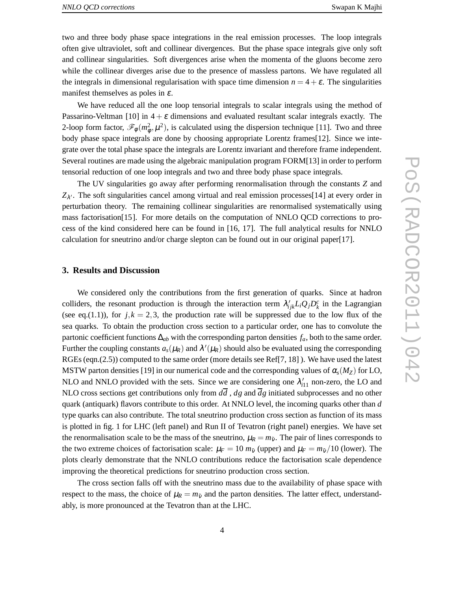two and three body phase space integrations in the real emission processes. The loop integrals often give ultraviolet, soft and collinear divergences. But the phase space integrals give only soft and collinear singularities. Soft divergences arise when the momenta of the gluons become zero while the collinear diverges arise due to the presence of massless partons. We have regulated all the integrals in dimensional regularisation with space time dimension  $n = 4 + \varepsilon$ . The singularities manifest themselves as poles in  $\varepsilon$ .

We have reduced all the one loop tensorial integrals to scalar integrals using the method of Passarino-Veltman [10] in  $4 + \varepsilon$  dimensions and evaluated resultant scalar integrals exactly. The 2-loop form factor,  $\mathcal{F}_{\phi}(m_{\phi}^2, \mu^2)$ , is calculated using the dispersion technique [11]. Two and three body phase space integrals are done by choosing appropriate Lorentz frames[12]. Since we integrate over the total phase space the integrals are Lorentz invariant and therefore frame independent. Several routines are made using the algebraic manipulation program FORM[13] in order to perform tensorial reduction of one loop integrals and two and three body phase space integrals.

The UV singularities go away after performing renormalisation through the constants *Z* and  $Z_{\lambda'}$ . The soft singularities cancel among virtual and real emission processes[14] at every order in perturbation theory. The remaining collinear singularities are renormalised systematically using mass factorisation[15]. For more details on the computation of NNLO QCD corrections to process of the kind considered here can be found in [16, 17]. The full analytical results for NNLO calculation for sneutrino and/or charge slepton can be found out in our original paper[17].

### **3. Results and Discussion**

We considered only the contributions from the first generation of quarks. Since at hadron colliders, the resonant production is through the interaction term  $\lambda'_{ijk}L_iQ_jD_k^c$  in the Lagrangian (see eq.(1.1)), for  $j, k = 2, 3$ , the production rate will be suppressed due to the low flux of the sea quarks. To obtain the production cross section to a particular order, one has to convolute the partonic coefficient functions ∆*ab* with the corresponding parton densities *fa*, both to the same order. Further the coupling constants  $a_s(\mu_R)$  and  $\lambda'(\mu_R)$  should also be evaluated using the corresponding RGEs (eqn.(2.5)) computed to the same order (more details see Ref[7, 18] ). We have used the latest MSTW parton densities [19] in our numerical code and the corresponding values of  $\alpha_s(M_Z)$  for LO, NLO and NNLO provided with the sets. Since we are considering one  $\lambda'_{i11}$  non-zero, the LO and NLO cross sections get contributions only from *dd* , *dg* and *dg* initiated subprocesses and no other quark (antiquark) flavors contribute to this order. At NNLO level, the incoming quarks other than *d* type quarks can also contribute. The total sneutrino production cross section as function of its mass is plotted in fig. 1 for LHC (left panel) and Run II of Tevatron (right panel) energies. We have set the renormalisation scale to be the mass of the sneutrino,  $\mu_R = m_{\tilde{V}}$ . The pair of lines corresponds to the two extreme choices of factorisation scale:  $\mu_F = 10 m_{\tilde{v}}$  (upper) and  $\mu_F = m_{\tilde{v}}/10$  (lower). The plots clearly demonstrate that the NNLO contributions reduce the factorisation scale dependence improving the theoretical predictions for sneutrino production cross section.

The cross section falls off with the sneutrino mass due to the availability of phase space with respect to the mass, the choice of  $\mu_R = m_{\tilde{v}}$  and the parton densities. The latter effect, understandably, is more pronounced at the Tevatron than at the LHC.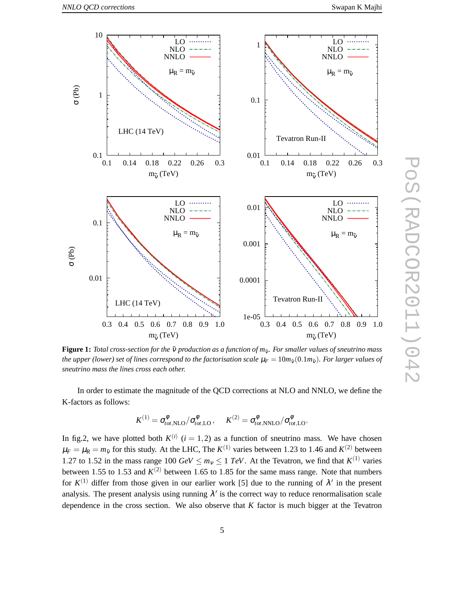PoS(RADCOR2011)042

**POS(RADCOR2011)042** 



**Figure 1:** *Total cross-section for the*  $\tilde{v}$  *production as a function of*  $m_{\tilde{v}}$ *. For smaller values of sneutrino mass the upper (lower) set of lines correspond to the factorisation scale*  $\mu_F = 10m_{\tilde{v}}(0.1m_{\tilde{v}})$ *. For larger values of sneutrino mass the lines cross each other.*

In order to estimate the magnitude of the QCD corrections at NLO and NNLO, we define the K-factors as follows:

$$
K^{(1)} = \sigma_{tot, \text{NLO}}^{\phi} / \sigma_{tot, \text{LO}}^{\phi}, \quad K^{(2)} = \sigma_{tot, \text{NNLO}}^{\phi} / \sigma_{tot, \text{LO}}^{\phi}.
$$

In fig.2, we have plotted both  $K^{(i)}$   $(i = 1, 2)$  as a function of sneutrino mass. We have chosen  $\mu_F = \mu_R = m_{\tilde{v}}$  for this study. At the LHC, The  $K^{(1)}$  varies between 1.23 to 1.46 and  $K^{(2)}$  between 1.27 to 1.52 in the mass range 100  $GeV \le m_v \le 1$  *TeV*. At the Tevatron, we find that  $K^{(1)}$  varies between 1.55 to 1.53 and  $K^{(2)}$  between 1.65 to 1.85 for the same mass range. Note that numbers for  $K^{(1)}$  differ from those given in our earlier work [5] due to the running of  $\lambda'$  in the present analysis. The present analysis using running  $\lambda'$  is the correct way to reduce renormalisation scale dependence in the cross section. We also observe that *K* factor is much bigger at the Tevatron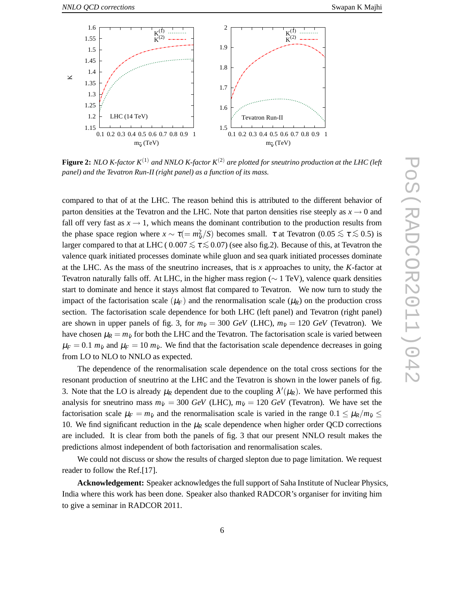

**Figure 2:** *NLO K-factor*  $K^{(1)}$  *and NNLO K-factor*  $K^{(2)}$  *are plotted for sneutrino production at the LHC* (*left panel) and the Tevatron Run-II (right panel) as a function of its mass.*

compared to that of at the LHC. The reason behind this is attributed to the different behavior of parton densities at the Tevatron and the LHC. Note that parton densities rise steeply as  $x \to 0$  and fall off very fast as  $x \to 1$ , which means the dominant contribution to the production results from the phase space region where  $x \sim \tau (= m_{\tilde{v}}^2/S)$  becomes small.  $\tau$  at Tevatron (0.05  $\le \tau \le$  0.5) is larger compared to that at LHC (  $0.007 \le \tau \le 0.07$ ) (see also fig.2). Because of this, at Tevatron the valence quark initiated processes dominate while gluon and sea quark initiated processes dominate at the LHC. As the mass of the sneutrino increases, that is *x* approaches to unity, the *K*-factor at Tevatron naturally falls off. At LHC, in the higher mass region ( $\sim 1$  TeV), valence quark densities start to dominate and hence it stays almost flat compared to Tevatron. We now turn to study the impact of the factorisation scale  $(\mu_F)$  and the renormalisation scale  $(\mu_R)$  on the production cross section. The factorisation scale dependence for both LHC (left panel) and Tevatron (right panel) are shown in upper panels of fig. 3, for  $m_{\tilde{v}} = 300$  *GeV* (LHC),  $m_{\tilde{v}} = 120$  *GeV* (Tevatron). We have chosen  $\mu_R = m_{\tilde{v}}$  for both the LHC and the Tevatron. The factorisation scale is varied between  $\mu_F = 0.1$   $m_{\tilde{v}}$  and  $\mu_F = 10$   $m_{\tilde{v}}$ . We find that the factorisation scale dependence decreases in going from LO to NLO to NNLO as expected.

The dependence of the renormalisation scale dependence on the total cross sections for the resonant production of sneutrino at the LHC and the Tevatron is shown in the lower panels of fig. 3. Note that the LO is already  $\mu_R$  dependent due to the coupling  $\lambda'(\mu_R)$ . We have performed this analysis for sneutrino mass  $m_{\tilde{v}} = 300 \text{ GeV}$  (LHC),  $m_{\tilde{v}} = 120 \text{ GeV}$  (Tevatron). We have set the factorisation scale  $\mu_F = m_{\tilde{v}}$  and the renormalisation scale is varied in the range  $0.1 \leq \mu_R/m_{\tilde{v}} \leq$ 10. We find significant reduction in the  $\mu_R$  scale dependence when higher order QCD corrections are included. It is clear from both the panels of fig. 3 that our present NNLO result makes the predictions almost independent of both factorisation and renormalisation scales.

We could not discuss or show the results of charged slepton due to page limitation. We request reader to follow the Ref.[17].

**Acknowledgement:** Speaker acknowledges the full support of Saha Institute of Nuclear Physics, India where this work has been done. Speaker also thanked RADCOR's organiser for inviting him to give a seminar in RADCOR 2011.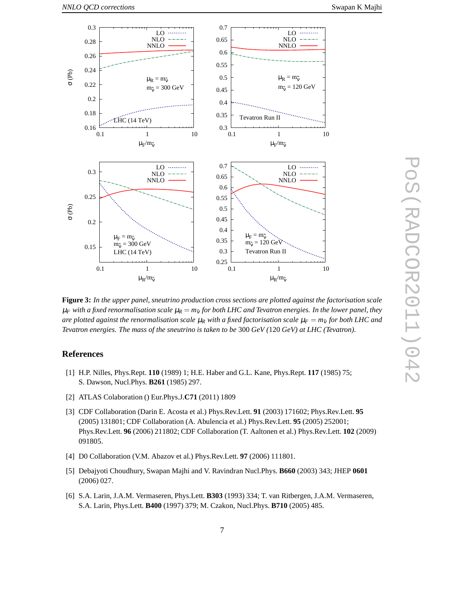

**Figure 3:** *In the upper panel, sneutrino production cross sections are plotted against the factorisation scale*  $\mu_F$  *with a fixed renormalisation scale*  $\mu_R = m_{\tilde{v}}$  *for both LHC and Tevatron energies. In the lower panel, they are plotted against the renormalisation scale*  $\mu_R$  *with a fixed factorisation scale*  $\mu_F = m_{\tilde{V}}$  *for both LHC and Tevatron energies. The mass of the sneutrino is taken to be* 300 *GeV (*120 *GeV) at LHC (Tevatron).*

### **References**

- [1] H.P. Nilles, Phys.Rept. **110** (1989) 1; H.E. Haber and G.L. Kane, Phys.Rept. **117** (1985) 75; S. Dawson, Nucl.Phys. **B261** (1985) 297.
- [2] ATLAS Colaboration () Eur.Phys.J.**C71** (2011) 1809
- [3] CDF Collaboration (Darin E. Acosta et al.) Phys.Rev.Lett. **91** (2003) 171602; Phys.Rev.Lett. **95** (2005) 131801; CDF Collaboration (A. Abulencia et al.) Phys.Rev.Lett. **95** (2005) 252001; Phys.Rev.Lett. **96** (2006) 211802; CDF Collaboration (T. Aaltonen et al.) Phys.Rev.Lett. **102** (2009) 091805.
- [4] D0 Collaboration (V.M. Abazov et al.) Phys.Rev.Lett. **97** (2006) 111801.
- [5] Debajyoti Choudhury, Swapan Majhi and V. Ravindran Nucl.Phys. **B660** (2003) 343; JHEP **0601** (2006) 027.
- [6] S.A. Larin, J.A.M. Vermaseren, Phys.Lett. **B303** (1993) 334; T. van Ritbergen, J.A.M. Vermaseren, S.A. Larin, Phys.Lett. **B400** (1997) 379; M. Czakon, Nucl.Phys. **B710** (2005) 485.